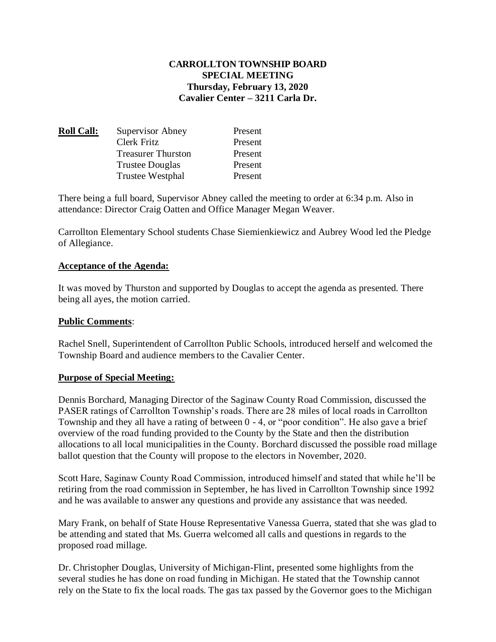### **CARROLLTON TOWNSHIP BOARD SPECIAL MEETING Thursday, February 13, 2020 Cavalier Center – 3211 Carla Dr.**

| <b>Roll Call:</b> | Supervisor Abney          | Present |
|-------------------|---------------------------|---------|
|                   | Clerk Fritz               | Present |
|                   | <b>Treasurer Thurston</b> | Present |
|                   | <b>Trustee Douglas</b>    | Present |
|                   | <b>Trustee Westphal</b>   | Present |

There being a full board, Supervisor Abney called the meeting to order at 6:34 p.m. Also in attendance: Director Craig Oatten and Office Manager Megan Weaver.

Carrollton Elementary School students Chase Siemienkiewicz and Aubrey Wood led the Pledge of Allegiance.

#### **Acceptance of the Agenda:**

It was moved by Thurston and supported by Douglas to accept the agenda as presented. There being all ayes, the motion carried.

#### **Public Comments**:

Rachel Snell, Superintendent of Carrollton Public Schools, introduced herself and welcomed the Township Board and audience members to the Cavalier Center.

#### **Purpose of Special Meeting:**

Dennis Borchard, Managing Director of the Saginaw County Road Commission, discussed the PASER ratings of Carrollton Township's roads. There are 28 miles of local roads in Carrollton Township and they all have a rating of between 0 - 4, or "poor condition". He also gave a brief overview of the road funding provided to the County by the State and then the distribution allocations to all local municipalities in the County. Borchard discussed the possible road millage ballot question that the County will propose to the electors in November, 2020.

Scott Hare, Saginaw County Road Commission, introduced himself and stated that while he'll be retiring from the road commission in September, he has lived in Carrollton Township since 1992 and he was available to answer any questions and provide any assistance that was needed.

Mary Frank, on behalf of State House Representative Vanessa Guerra, stated that she was glad to be attending and stated that Ms. Guerra welcomed all calls and questions in regards to the proposed road millage.

Dr. Christopher Douglas, University of Michigan-Flint, presented some highlights from the several studies he has done on road funding in Michigan. He stated that the Township cannot rely on the State to fix the local roads. The gas tax passed by the Governor goes to the Michigan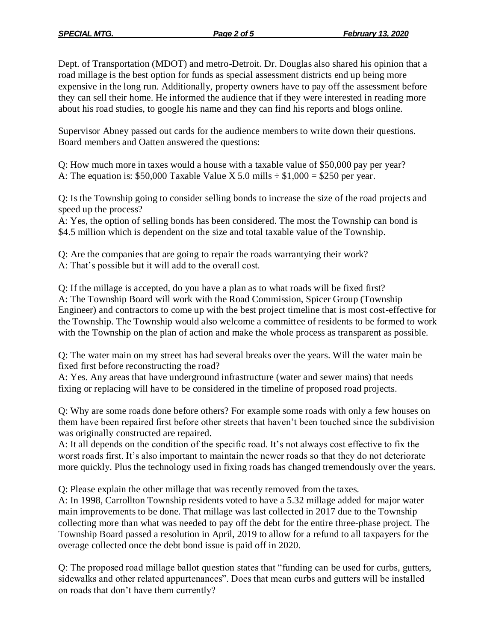Dept. of Transportation (MDOT) and metro-Detroit. Dr. Douglas also shared his opinion that a road millage is the best option for funds as special assessment districts end up being more expensive in the long run. Additionally, property owners have to pay off the assessment before they can sell their home. He informed the audience that if they were interested in reading more about his road studies, to google his name and they can find his reports and blogs online.

Supervisor Abney passed out cards for the audience members to write down their questions. Board members and Oatten answered the questions:

Q: How much more in taxes would a house with a taxable value of \$50,000 pay per year? A: The equation is: \$50,000 Taxable Value X 5.0 mills  $\div$  \$1,000 = \$250 per year.

Q: Is the Township going to consider selling bonds to increase the size of the road projects and speed up the process?

A: Yes, the option of selling bonds has been considered. The most the Township can bond is \$4.5 million which is dependent on the size and total taxable value of the Township.

Q: Are the companies that are going to repair the roads warrantying their work? A: That's possible but it will add to the overall cost.

Q: If the millage is accepted, do you have a plan as to what roads will be fixed first? A: The Township Board will work with the Road Commission, Spicer Group (Township Engineer) and contractors to come up with the best project timeline that is most cost-effective for the Township. The Township would also welcome a committee of residents to be formed to work with the Township on the plan of action and make the whole process as transparent as possible.

Q: The water main on my street has had several breaks over the years. Will the water main be fixed first before reconstructing the road?

A: Yes. Any areas that have underground infrastructure (water and sewer mains) that needs fixing or replacing will have to be considered in the timeline of proposed road projects.

Q: Why are some roads done before others? For example some roads with only a few houses on them have been repaired first before other streets that haven't been touched since the subdivision was originally constructed are repaired.

A: It all depends on the condition of the specific road. It's not always cost effective to fix the worst roads first. It's also important to maintain the newer roads so that they do not deteriorate more quickly. Plus the technology used in fixing roads has changed tremendously over the years.

Q: Please explain the other millage that was recently removed from the taxes.

A: In 1998, Carrollton Township residents voted to have a 5.32 millage added for major water main improvements to be done. That millage was last collected in 2017 due to the Township collecting more than what was needed to pay off the debt for the entire three-phase project. The Township Board passed a resolution in April, 2019 to allow for a refund to all taxpayers for the overage collected once the debt bond issue is paid off in 2020.

Q: The proposed road millage ballot question states that "funding can be used for curbs, gutters, sidewalks and other related appurtenances". Does that mean curbs and gutters will be installed on roads that don't have them currently?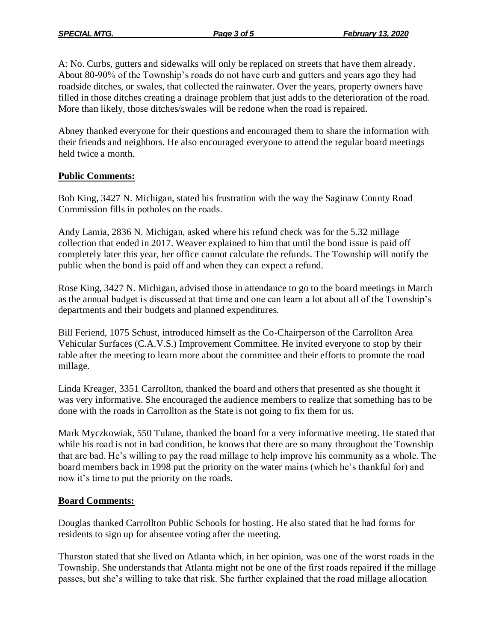A: No. Curbs, gutters and sidewalks will only be replaced on streets that have them already. About 80-90% of the Township's roads do not have curb and gutters and years ago they had roadside ditches, or swales, that collected the rainwater. Over the years, property owners have filled in those ditches creating a drainage problem that just adds to the deterioration of the road. More than likely, those ditches/swales will be redone when the road is repaired.

Abney thanked everyone for their questions and encouraged them to share the information with their friends and neighbors. He also encouraged everyone to attend the regular board meetings held twice a month.

# **Public Comments:**

Bob King, 3427 N. Michigan, stated his frustration with the way the Saginaw County Road Commission fills in potholes on the roads.

Andy Lamia, 2836 N. Michigan, asked where his refund check was for the 5.32 millage collection that ended in 2017. Weaver explained to him that until the bond issue is paid off completely later this year, her office cannot calculate the refunds. The Township will notify the public when the bond is paid off and when they can expect a refund.

Rose King, 3427 N. Michigan, advised those in attendance to go to the board meetings in March as the annual budget is discussed at that time and one can learn a lot about all of the Township's departments and their budgets and planned expenditures.

Bill Feriend, 1075 Schust, introduced himself as the Co-Chairperson of the Carrollton Area Vehicular Surfaces (C.A.V.S.) Improvement Committee. He invited everyone to stop by their table after the meeting to learn more about the committee and their efforts to promote the road millage.

Linda Kreager, 3351 Carrollton, thanked the board and others that presented as she thought it was very informative. She encouraged the audience members to realize that something has to be done with the roads in Carrollton as the State is not going to fix them for us.

Mark Myczkowiak, 550 Tulane, thanked the board for a very informative meeting. He stated that while his road is not in bad condition, he knows that there are so many throughout the Township that are bad. He's willing to pay the road millage to help improve his community as a whole. The board members back in 1998 put the priority on the water mains (which he's thankful for) and now it's time to put the priority on the roads.

# **Board Comments:**

Douglas thanked Carrollton Public Schools for hosting. He also stated that he had forms for residents to sign up for absentee voting after the meeting.

Thurston stated that she lived on Atlanta which, in her opinion, was one of the worst roads in the Township. She understands that Atlanta might not be one of the first roads repaired if the millage passes, but she's willing to take that risk. She further explained that the road millage allocation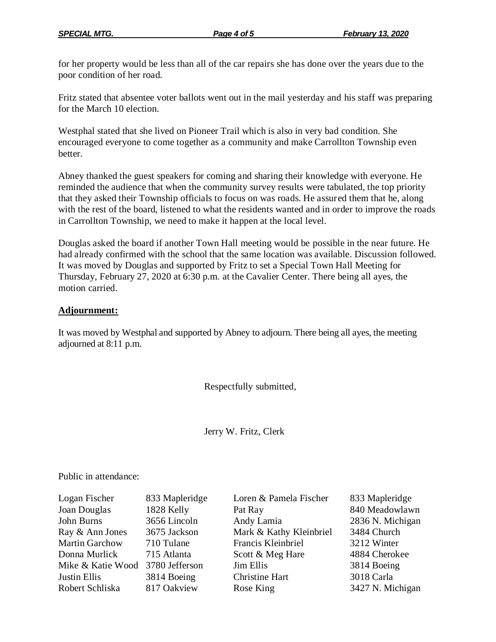for her property would be less than all of the car repairs she has done over the years due to the poor condition of her road.

Fritz stated that absentee voter ballots went out in the mail yesterday and his staff was preparing for the March 10 election.

Westphal stated that she lived on Pioneer Trail which is also in very bad condition. She encouraged everyone to come together as a community and make Carrollton Township even better.

Abney thanked the guest speakers for coming and sharing their knowledge with everyone. He reminded the audience that when the community survey results were tabulated, the top priority that they asked their Township officials to focus on was roads. He assured them that he, along with the rest of the board, listened to what the residents wanted and in order to improve the roads in Carrollton Township, we need to make it happen at the local level.

Douglas asked the board if another Town Hall meeting would be possible in the near future. He had already confirmed with the school that the same location was available. Discussion followed. It was moved by Douglas and supported by Fritz to set a Special Town Hall Meeting for Thursday, February 27, 2020 at 6:30 p.m. at the Cavalier Center. There being all ayes, the motion carried.

### **Adjournment:**

It was moved by Westphal and supported by Abney to adjourn. There being all ayes, the meeting adjourned at 8:11 p.m.

Respectfully submitted,

Jerry W. Fritz, Clerk

Public in attendance:

| Logan Fischer                    | 833 Mapleridge | Loren & Pamela Fischer  | 833 Mapleridge   |
|----------------------------------|----------------|-------------------------|------------------|
| Joan Douglas                     | 1828 Kelly     | Pat Ray                 | 840 Meadowlawn   |
| John Burns                       | 3656 Lincoln   | Andy Lamia              | 2836 N. Michigan |
| Ray & Ann Jones                  | 3675 Jackson   | Mark & Kathy Kleinbriel | 3484 Church      |
| <b>Martin Garchow</b>            | 710 Tulane     | Francis Kleinbriel      | 3212 Winter      |
| Donna Murlick                    | 715 Atlanta    | Scott & Meg Hare        | 4884 Cherokee    |
| Mike & Katie Wood 3780 Jefferson |                | Jim Ellis               | 3814 Boeing      |
| <b>Justin Ellis</b>              | 3814 Boeing    | <b>Christine Hart</b>   | 3018 Carla       |
| Robert Schliska                  | 817 Oakview    | Rose King               | 3427 N. Michigan |